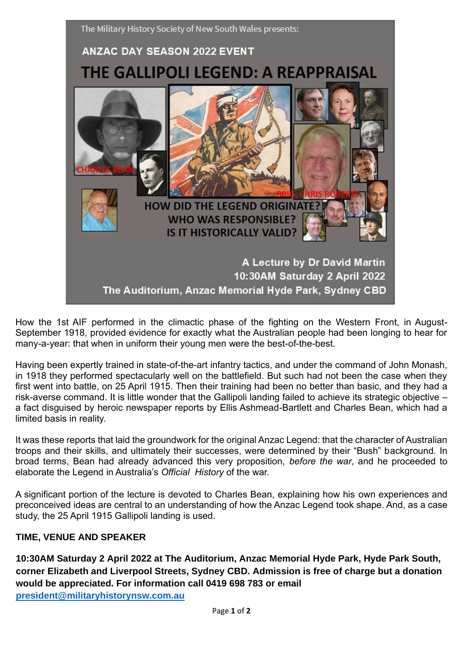

How the 1st AIF performed in the climactic phase of the fighting on the Western Front, in August-September 1918, provided evidence for exactly what the Australian people had been longing to hear for many-a-year: that when in uniform their young men were the best-of-the-best.

Having been expertly trained in state-of-the-art infantry tactics, and under the command of John Monash, in 1918 they performed spectacularly well on the battlefield. But such had not been the case when they first went into battle, on 25 April 1915. Then their training had been no better than basic, and they had a risk-averse command. It is little wonder that the Gallipoli landing failed to achieve its strategic objective – a fact disguised by heroic newspaper reports by Ellis Ashmead-Bartlett and Charles Bean, which had a limited basis in reality.

It was these reports that laid the groundwork for the original Anzac Legend: that the character of Australian troops and their skills, and ultimately their successes, were determined by their "Bush" background. In broad terms, Bean had already advanced this very proposition, *before the war*, and he proceeded to elaborate the Legend in Australia's *Official History* of the war.

A significant portion of the lecture is devoted to Charles Bean, explaining how his own experiences and preconceived ideas are central to an understanding of how the Anzac Legend took shape. And, as a case study, the 25 April 1915 Gallipoli landing is used.

## **TIME, VENUE AND SPEAKER**

**10:30AM Saturday 2 April 2022 at The Auditorium, Anzac Memorial Hyde Park, Hyde Park South, corner Elizabeth and Liverpool Streets, Sydney CBD. Admission is free of charge but a donation would be appreciated. For information call 0419 698 783 or email [president@militaryhistorynsw.com.au](mailto:president@militaryhistorynsw.com.au)**